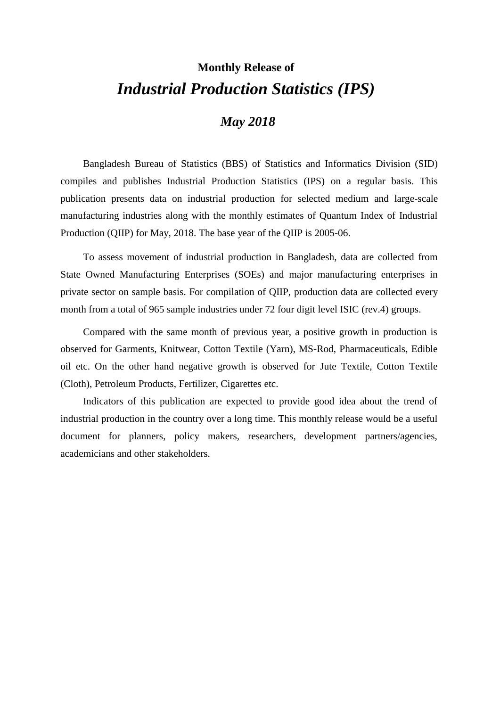# **Monthly Release of** *Industrial Production Statistics (IPS)*

### *May 2018*

Bangladesh Bureau of Statistics (BBS) of Statistics and Informatics Division (SID) compiles and publishes Industrial Production Statistics (IPS) on a regular basis. This publication presents data on industrial production for selected medium and large-scale manufacturing industries along with the monthly estimates of Quantum Index of Industrial Production (QIIP) for May, 2018. The base year of the QIIP is 2005-06.

To assess movement of industrial production in Bangladesh, data are collected from State Owned Manufacturing Enterprises (SOEs) and major manufacturing enterprises in private sector on sample basis. For compilation of QIIP, production data are collected every month from a total of 965 sample industries under 72 four digit level ISIC (rev.4) groups.

Compared with the same month of previous year, a positive growth in production is observed for Garments, Knitwear, Cotton Textile (Yarn), MS-Rod, Pharmaceuticals, Edible oil etc. On the other hand negative growth is observed for Jute Textile, Cotton Textile (Cloth), Petroleum Products, Fertilizer, Cigarettes etc.

Indicators of this publication are expected to provide good idea about the trend of industrial production in the country over a long time. This monthly release would be a useful document for planners, policy makers, researchers, development partners/agencies, academicians and other stakeholders.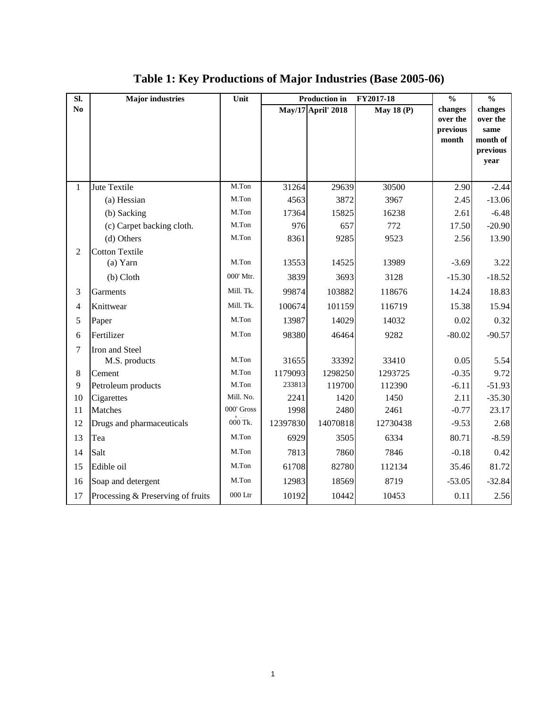| SI.            | <b>Major</b> industries           | Unit       | <b>Production in</b><br>FY2017-18 |                           |                   |                                          |                                                             |  | $\frac{0}{0}$ | $\frac{0}{0}$ |
|----------------|-----------------------------------|------------|-----------------------------------|---------------------------|-------------------|------------------------------------------|-------------------------------------------------------------|--|---------------|---------------|
| N <sub>0</sub> |                                   |            |                                   | <b>May/17</b> April' 2018 | <b>May 18 (P)</b> | changes<br>over the<br>previous<br>month | changes<br>over the<br>same<br>month of<br>previous<br>year |  |               |               |
| $\mathbf{1}$   | Jute Textile                      | M.Ton      | 31264                             | 29639                     | 30500             | 2.90                                     | $-2.44$                                                     |  |               |               |
|                | (a) Hessian                       | M.Ton      | 4563                              | 3872                      | 3967              | 2.45                                     | $-13.06$                                                    |  |               |               |
|                | (b) Sacking                       | M.Ton      | 17364                             | 15825                     | 16238             | 2.61                                     | $-6.48$                                                     |  |               |               |
|                | (c) Carpet backing cloth.         | M.Ton      | 976                               | 657                       | 772               | 17.50                                    | $-20.90$                                                    |  |               |               |
|                | (d) Others                        | M.Ton      | 8361                              | 9285                      | 9523              | 2.56                                     | 13.90                                                       |  |               |               |
| $\overline{2}$ | <b>Cotton Textile</b>             |            |                                   |                           |                   |                                          |                                                             |  |               |               |
|                | (a) Yarn                          | M.Ton      | 13553                             | 14525                     | 13989             | $-3.69$                                  | 3.22                                                        |  |               |               |
|                | $(b)$ Cloth                       | 000' Mtr.  | 3839                              | 3693                      | 3128              | $-15.30$                                 | $-18.52$                                                    |  |               |               |
| 3              | Garments                          | Mill. Tk.  | 99874                             | 103882                    | 118676            | 14.24                                    | 18.83                                                       |  |               |               |
| $\overline{4}$ | Knittwear                         | Mill. Tk.  | 100674                            | 101159                    | 116719            | 15.38                                    | 15.94                                                       |  |               |               |
| 5              | Paper                             | M.Ton      | 13987                             | 14029                     | 14032             | 0.02                                     | 0.32                                                        |  |               |               |
| 6              | Fertilizer                        | M.Ton      | 98380                             | 46464                     | 9282              | $-80.02$                                 | $-90.57$                                                    |  |               |               |
| 7              | Iron and Steel                    |            |                                   |                           |                   |                                          |                                                             |  |               |               |
|                | M.S. products                     | M.Ton      | 31655                             | 33392                     | 33410             | 0.05                                     | 5.54                                                        |  |               |               |
| $\,8\,$        | Cement                            | M.Ton      | 1179093                           | 1298250                   | 1293725           | $-0.35$                                  | 9.72                                                        |  |               |               |
| 9              | Petroleum products                | M.Ton      | 233813                            | 119700                    | 112390            | $-6.11$                                  | $-51.93$                                                    |  |               |               |
| 10             | Cigarettes                        | Mill. No.  | 2241                              | 1420                      | 1450              | 2.11                                     | $-35.30$                                                    |  |               |               |
| 11             | Matches                           | 000' Gross | 1998                              | 2480                      | 2461              | $-0.77$                                  | 23.17                                                       |  |               |               |
| 12             | Drugs and pharmaceuticals         | 000 Tk.    | 12397830                          | 14070818                  | 12730438          | $-9.53$                                  | 2.68                                                        |  |               |               |
| 13             | Tea                               | M.Ton      | 6929                              | 3505                      | 6334              | 80.71                                    | $-8.59$                                                     |  |               |               |
| 14             | Salt                              | M.Ton      | 7813                              | 7860                      | 7846              | $-0.18$                                  | 0.42                                                        |  |               |               |
| 15             | Edible oil                        | M.Ton      | 61708                             | 82780                     | 112134            | 35.46                                    | 81.72                                                       |  |               |               |
| 16             | Soap and detergent                | M.Ton      | 12983                             | 18569                     | 8719              | $-53.05$                                 | $-32.84$                                                    |  |               |               |
| 17             | Processing & Preserving of fruits | $000$ Ltr  | 10192                             | 10442                     | 10453             | 0.11                                     | 2.56                                                        |  |               |               |

## **Table 1: Key Productions of Major Industries (Base 2005-06)**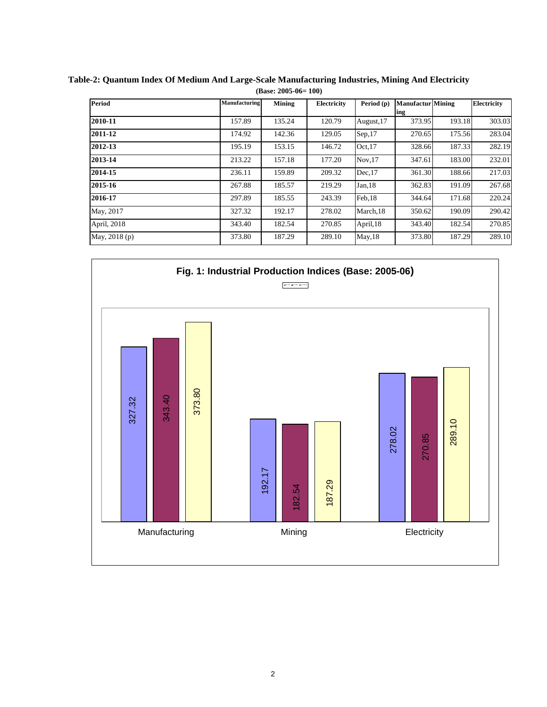| <b>Period</b> | Manufacturing | Mining | Electricity | Period (p) | <b>Manufactur</b> Mining |        | Electricity |
|---------------|---------------|--------|-------------|------------|--------------------------|--------|-------------|
|               |               |        |             |            | ing                      |        |             |
| 2010-11       | 157.89        | 135.24 | 120.79      | August, 17 | 373.95                   | 193.18 | 303.03      |
| 2011-12       | 174.92        | 142.36 | 129.05      | Sep,17     | 270.65                   | 175.56 | 283.04      |
| 2012-13       | 195.19        | 153.15 | 146.72      | Oct.17     | 328.66                   | 187.33 | 282.19      |
| 2013-14       | 213.22        | 157.18 | 177.20      | Nov.17     | 347.61                   | 183.00 | 232.01      |
| 2014-15       | 236.11        | 159.89 | 209.32      | Dec.17     | 361.30                   | 188.66 | 217.03      |
| 2015-16       | 267.88        | 185.57 | 219.29      | Jan.18     | 362.83                   | 191.09 | 267.68      |
| 2016-17       | 297.89        | 185.55 | 243.39      | Feb,18     | 344.64                   | 171.68 | 220.24      |
| May, 2017     | 327.32        | 192.17 | 278.02      | March, 18  | 350.62                   | 190.09 | 290.42      |
| April, 2018   | 343.40        | 182.54 | 270.85      | April, 18  | 343.40                   | 182.54 | 270.85      |
| May, 2018 (p) | 373.80        | 187.29 | 289.10      | May, 18    | 373.80                   | 187.29 | 289.10      |

**Table-2: Quantum Index Of Medium And Large-Scale Manufacturing Industries, Mining And Electricity (Base: 2005-06= 100)**

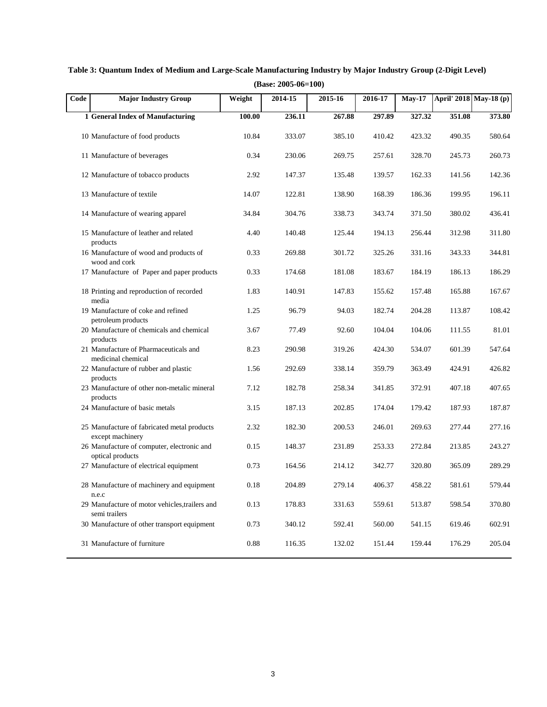| Code | <b>Major Industry Group</b>                                     | Weight | 2014-15 | 2015-16 | 2016-17 | <b>May-17</b> |        | April' 2018 May-18 (p) |
|------|-----------------------------------------------------------------|--------|---------|---------|---------|---------------|--------|------------------------|
|      | 1 General Index of Manufacturing                                | 100.00 | 236.11  | 267.88  | 297.89  | 327.32        | 351.08 | 373.80                 |
|      | 10 Manufacture of food products                                 | 10.84  | 333.07  | 385.10  | 410.42  | 423.32        | 490.35 | 580.64                 |
|      | 11 Manufacture of beverages                                     | 0.34   | 230.06  | 269.75  | 257.61  | 328.70        | 245.73 | 260.73                 |
|      | 12 Manufacture of tobacco products                              | 2.92   | 147.37  | 135.48  | 139.57  | 162.33        | 141.56 | 142.36                 |
|      | 13 Manufacture of textile                                       | 14.07  | 122.81  | 138.90  | 168.39  | 186.36        | 199.95 | 196.11                 |
|      | 14 Manufacture of wearing apparel                               | 34.84  | 304.76  | 338.73  | 343.74  | 371.50        | 380.02 | 436.41                 |
|      | 15 Manufacture of leather and related<br>products               | 4.40   | 140.48  | 125.44  | 194.13  | 256.44        | 312.98 | 311.80                 |
|      | 16 Manufacture of wood and products of<br>wood and cork         | 0.33   | 269.88  | 301.72  | 325.26  | 331.16        | 343.33 | 344.81                 |
|      | 17 Manufacture of Paper and paper products                      | 0.33   | 174.68  | 181.08  | 183.67  | 184.19        | 186.13 | 186.29                 |
|      | 18 Printing and reproduction of recorded<br>media               | 1.83   | 140.91  | 147.83  | 155.62  | 157.48        | 165.88 | 167.67                 |
|      | 19 Manufacture of coke and refined<br>petroleum products        | 1.25   | 96.79   | 94.03   | 182.74  | 204.28        | 113.87 | 108.42                 |
|      | 20 Manufacture of chemicals and chemical<br>products            | 3.67   | 77.49   | 92.60   | 104.04  | 104.06        | 111.55 | 81.01                  |
|      | 21 Manufacture of Pharmaceuticals and<br>medicinal chemical     | 8.23   | 290.98  | 319.26  | 424.30  | 534.07        | 601.39 | 547.64                 |
|      | 22 Manufacture of rubber and plastic<br>products                | 1.56   | 292.69  | 338.14  | 359.79  | 363.49        | 424.91 | 426.82                 |
|      | 23 Manufacture of other non-metalic mineral<br>products         | 7.12   | 182.78  | 258.34  | 341.85  | 372.91        | 407.18 | 407.65                 |
|      | 24 Manufacture of basic metals                                  | 3.15   | 187.13  | 202.85  | 174.04  | 179.42        | 187.93 | 187.87                 |
|      | 25 Manufacture of fabricated metal products<br>except machinery | 2.32   | 182.30  | 200.53  | 246.01  | 269.63        | 277.44 | 277.16                 |
|      | 26 Manufacture of computer, electronic and<br>optical products  | 0.15   | 148.37  | 231.89  | 253.33  | 272.84        | 213.85 | 243.27                 |
|      | 27 Manufacture of electrical equipment                          | 0.73   | 164.56  | 214.12  | 342.77  | 320.80        | 365.09 | 289.29                 |
|      | 28 Manufacture of machinery and equipment<br>n.e.c              | 0.18   | 204.89  | 279.14  | 406.37  | 458.22        | 581.61 | 579.44                 |
|      | 29 Manufacture of motor vehicles, trailers and<br>semi trailers | 0.13   | 178.83  | 331.63  | 559.61  | 513.87        | 598.54 | 370.80                 |
|      | 30 Manufacture of other transport equipment                     | 0.73   | 340.12  | 592.41  | 560.00  | 541.15        | 619.46 | 602.91                 |
|      | 31 Manufacture of furniture                                     | 0.88   | 116.35  | 132.02  | 151.44  | 159.44        | 176.29 | 205.04                 |

**Table 3: Quantum Index of Medium and Large-Scale Manufacturing Industry by Major Industry Group (2-Digit Level) (Base: 2005-06=100)**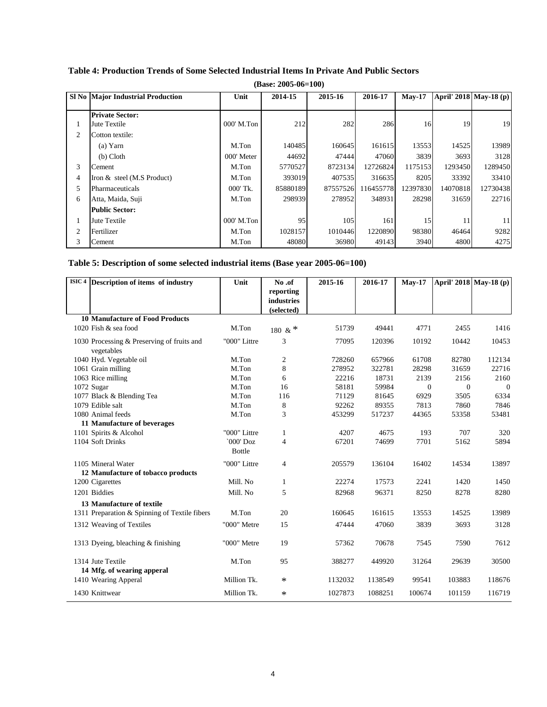|   | $(Base: 2005-06=100)$                    |              |          |          |           |          |          |                        |  |
|---|------------------------------------------|--------------|----------|----------|-----------|----------|----------|------------------------|--|
|   | <b>SI No Major Industrial Production</b> | Unit         | 2014-15  | 2015-16  | 2016-17   | $Mav-17$ |          | April' 2018 May-18 (p) |  |
|   | <b>Private Sector:</b>                   |              |          |          |           |          |          |                        |  |
| 1 | Jute Textile                             | 000' M.Ton   | 212      | 282      | 286       | 16       | 19       | 19                     |  |
| 2 | Cotton textile:                          |              |          |          |           |          |          |                        |  |
|   | $(a)$ Yarn                               | M.Ton        | 140485   | 160645   | 161615    | 13553    | 14525    | 13989                  |  |
|   | $(b)$ Cloth                              | 000' Meter   | 44692    | 47444    | 47060     | 3839     | 3693     | 3128                   |  |
| 3 | Cement                                   | M.Ton        | 5770527  | 8723134  | 12726824  | 1175153  | 1293450  | 1289450                |  |
| 4 | Iron & steel (M.S Product)               | M.Ton        | 393019   | 407535   | 316635    | 8205     | 33392    | 33410                  |  |
| 5 | Pharmaceuticals                          | 000' Tk.     | 85880189 | 87557526 | 116455778 | 12397830 | 14070818 | 12730438               |  |
| 6 | Atta, Maida, Suji                        | M.Ton        | 298939   | 278952   | 348931    | 28298    | 31659    | 22716                  |  |
|   | <b>Public Sector:</b>                    |              |          |          |           |          |          |                        |  |
|   | Jute Textile                             | $000'$ M.Ton | 95       | 105      | 161       | 15       | 11       | 11                     |  |
| 2 | Fertilizer                               | M.Ton        | 1028157  | 1010446  | 1220890   | 98380    | 46464    | 9282                   |  |
| 3 | Cement                                   | M.Ton        | 48080    | 36980    | 49143     | 3940     | 4800     | 4275                   |  |

#### **Table 4: Production Trends of Some Selected Industrial Items In Private And Public Sectors**

#### **Table 5: Description of some selected industrial items (Base year 2005-06=100)**

| ISIC <sup>4</sup> Description of items of industry       | Unit                       | No.of          | 2015-16 | 2016-17 | <b>May-17</b> |          | April' 2018 May-18 (p) |
|----------------------------------------------------------|----------------------------|----------------|---------|---------|---------------|----------|------------------------|
|                                                          |                            | reporting      |         |         |               |          |                        |
|                                                          |                            | industries     |         |         |               |          |                        |
|                                                          |                            | (selected)     |         |         |               |          |                        |
| <b>10 Manufacture of Food Products</b>                   |                            |                |         |         |               |          |                        |
| 1020 Fish & sea food                                     | M.Ton                      | 180 & *        | 51739   | 49441   | 4771          | 2455     | 1416                   |
| 1030 Processing & Preserving of fruits and<br>vegetables | "000" Littre               | 3              | 77095   | 120396  | 10192         | 10442    | 10453                  |
| 1040 Hyd. Vegetable oil                                  | M.Ton                      | $\overline{c}$ | 728260  | 657966  | 61708         | 82780    | 112134                 |
| 1061 Grain milling                                       | M.Ton                      | 8              | 278952  | 322781  | 28298         | 31659    | 22716                  |
| 1063 Rice milling                                        | M.Ton                      | 6              | 22216   | 18731   | 2139          | 2156     | 2160                   |
| 1072 Sugar                                               | M.Ton                      | 16             | 58181   | 59984   | $\Omega$      | $\Omega$ | $\theta$               |
| 1077 Black & Blending Tea                                | M.Ton                      | 116            | 71129   | 81645   | 6929          | 3505     | 6334                   |
| 1079 Edible salt                                         | M.Ton                      | 8              | 92262   | 89355   | 7813          | 7860     | 7846                   |
| 1080 Animal feeds                                        | M.Ton                      | 3              | 453299  | 517237  | 44365         | 53358    | 53481                  |
| 11 Manufacture of beverages                              |                            |                |         |         |               |          |                        |
| 1101 Spirits & Alcohol                                   | "000" Littre               | $\mathbf{1}$   | 4207    | 4675    | 193           | 707      | 320                    |
| 1104 Soft Drinks                                         | `000' Doz<br><b>Bottle</b> | $\overline{4}$ | 67201   | 74699   | 7701          | 5162     | 5894                   |
| 1105 Mineral Water<br>12 Manufacture of tobacco products | "000" Littre               | $\overline{4}$ | 205579  | 136104  | 16402         | 14534    | 13897                  |
| 1200 Cigarettes                                          | Mill. No                   | 1              | 22274   | 17573   | 2241          | 1420     | 1450                   |
| 1201 Biddies                                             | Mill. No                   | 5              | 82968   | 96371   | 8250          | 8278     | 8280                   |
| 13 Manufacture of textile                                |                            |                |         |         |               |          |                        |
| 1311 Preparation & Spinning of Textile fibers            | M.Ton                      | 20             | 160645  | 161615  | 13553         | 14525    | 13989                  |
| 1312 Weaving of Textiles                                 | "000" Metre                | 15             | 47444   | 47060   | 3839          | 3693     | 3128                   |
| 1313 Dyeing, bleaching & finishing                       | "000" Metre                | 19             | 57362   | 70678   | 7545          | 7590     | 7612                   |
| 1314 Jute Textile                                        | M.Ton                      | 95             | 388277  | 449920  | 31264         | 29639    | 30500                  |
| 14 Mfg. of wearing apperal<br>1410 Wearing Apperal       | Million Tk.                | $\ast$         | 1132032 | 1138549 | 99541         | 103883   | 118676                 |
| 1430 Knittwear                                           | Million Tk.                | $\ast$         | 1027873 | 1088251 | 100674        | 101159   | 116719                 |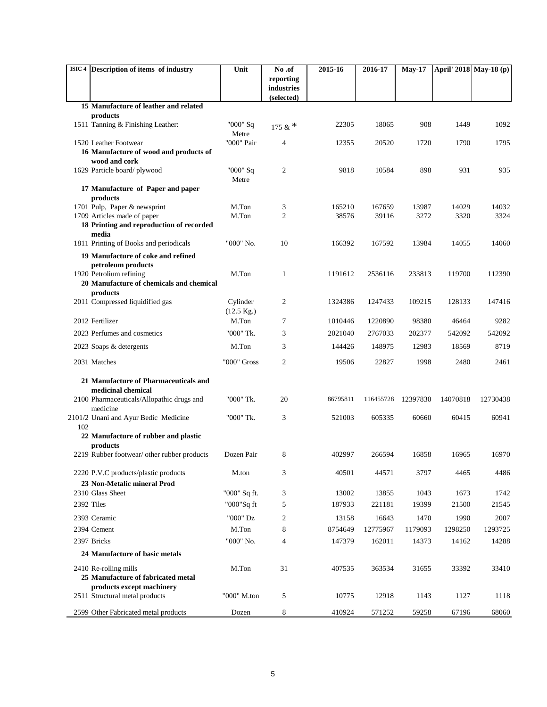| ISIC 4 Description of items of industry                             | Unit                 | No.of                    | 2015-16  | 2016-17   | <b>May-17</b> | April' 2018 May-18 (p) |          |
|---------------------------------------------------------------------|----------------------|--------------------------|----------|-----------|---------------|------------------------|----------|
|                                                                     |                      | reporting                |          |           |               |                        |          |
|                                                                     |                      | industries<br>(selected) |          |           |               |                        |          |
| 15 Manufacture of leather and related                               |                      |                          |          |           |               |                        |          |
| products                                                            |                      |                          |          |           |               |                        |          |
| 1511 Tanning & Finishing Leather:                                   | "000" Sq<br>Metre    | 175 & $*$                | 22305    | 18065     | 908           | 1449                   | 1092     |
| 1520 Leather Footwear                                               | "000" Pair           | $\overline{4}$           | 12355    | 20520     | 1720          | 1790                   | 1795     |
| 16 Manufacture of wood and products of                              |                      |                          |          |           |               |                        |          |
| wood and cork                                                       |                      |                          |          |           |               |                        |          |
| 1629 Particle board/plywood                                         | "000" Sq<br>Metre    | 2                        | 9818     | 10584     | 898           | 931                    | 935      |
| 17 Manufacture of Paper and paper<br>products                       |                      |                          |          |           |               |                        |          |
| 1701 Pulp, Paper & newsprint                                        | M.Ton                | 3                        | 165210   | 167659    | 13987         | 14029                  | 14032    |
| 1709 Articles made of paper                                         | M.Ton                | $\overline{2}$           | 38576    | 39116     | 3272          | 3320                   | 3324     |
| 18 Printing and reproduction of recorded<br>media                   |                      |                          |          |           |               |                        |          |
| 1811 Printing of Books and periodicals                              | "000" No.            | 10                       | 166392   | 167592    | 13984         | 14055                  | 14060    |
| 19 Manufacture of coke and refined                                  |                      |                          |          |           |               |                        |          |
| petroleum products                                                  |                      |                          |          |           |               |                        |          |
| 1920 Petrolium refining<br>20 Manufacture of chemicals and chemical | M.Ton                | 1                        | 1191612  | 2536116   | 233813        | 119700                 | 112390   |
| products                                                            |                      |                          |          |           |               |                        |          |
| 2011 Compressed liquidified gas                                     | Cylinder             | 2                        | 1324386  | 1247433   | 109215        | 128133                 | 147416   |
|                                                                     | $(12.5 \text{ Kg.})$ |                          |          |           |               |                        |          |
| 2012 Fertilizer                                                     | M.Ton                | 7                        | 1010446  | 1220890   | 98380         | 46464                  | 9282     |
| 2023 Perfumes and cosmetics                                         | "000" Tk.            | 3                        | 2021040  | 2767033   | 202377        | 542092                 | 542092   |
| 2023 Soaps & detergents                                             | M.Ton                | 3                        | 144426   | 148975    | 12983         | 18569                  | 8719     |
| 2031 Matches                                                        | "000" Gross          | 2                        | 19506    | 22827     | 1998          | 2480                   | 2461     |
| 21 Manufacture of Pharmaceuticals and                               |                      |                          |          |           |               |                        |          |
| medicinal chemical                                                  |                      |                          |          |           |               |                        |          |
| 2100 Pharmaceuticals/Allopathic drugs and<br>medicine               | "000" Tk.            | 20                       | 86795811 | 116455728 | 12397830      | 14070818               | 12730438 |
| 2101/2 Unani and Ayur Bedic Medicine                                | "000" Tk.            | 3                        | 521003   | 605335    | 60660         | 60415                  | 60941    |
| 102<br>22 Manufacture of rubber and plastic                         |                      |                          |          |           |               |                        |          |
| products                                                            |                      |                          |          |           |               |                        |          |
| 2219 Rubber footwear/ other rubber products                         | Dozen Pair           | 8                        | 402997   | 266594    | 16858         | 16965                  | 16970    |
| 2220 P.V.C products/plastic products                                | M.ton                | 3                        | 40501    | 44571     | 3797          | 4465                   | 4486     |
| 23 Non-Metalic mineral Prod                                         |                      |                          |          |           |               |                        |          |
| 2310 Glass Sheet                                                    | "000" Sq ft.         | 3                        | 13002    | 13855     | 1043          | 1673                   | 1742     |
| 2392 Tiles                                                          | "000"Sq ft           | 5                        | 187933   | 221181    | 19399         | 21500                  | 21545    |
| 2393 Ceramic                                                        | "000" Dz             | 2                        | 13158    | 16643     | 1470          | 1990                   | 2007     |
| 2394 Cement                                                         | M.Ton                | 8                        | 8754649  | 12775967  | 1179093       | 1298250                | 1293725  |
| 2397 Bricks                                                         | "000" No.            | 4                        | 147379   | 162011    | 14373         | 14162                  | 14288    |
| 24 Manufacture of basic metals                                      |                      |                          |          |           |               |                        |          |
| 2410 Re-rolling mills                                               | M.Ton                | 31                       | 407535   | 363534    | 31655         | 33392                  | 33410    |
| 25 Manufacture of fabricated metal                                  |                      |                          |          |           |               |                        |          |
| products except machinery<br>2511 Structural metal products         | "000" M.ton          | 5                        | 10775    | 12918     | 1143          | 1127                   | 1118     |
|                                                                     |                      |                          |          |           |               |                        |          |
| 2599 Other Fabricated metal products                                | Dozen                | 8                        | 410924   | 571252    | 59258         | 67196                  | 68060    |